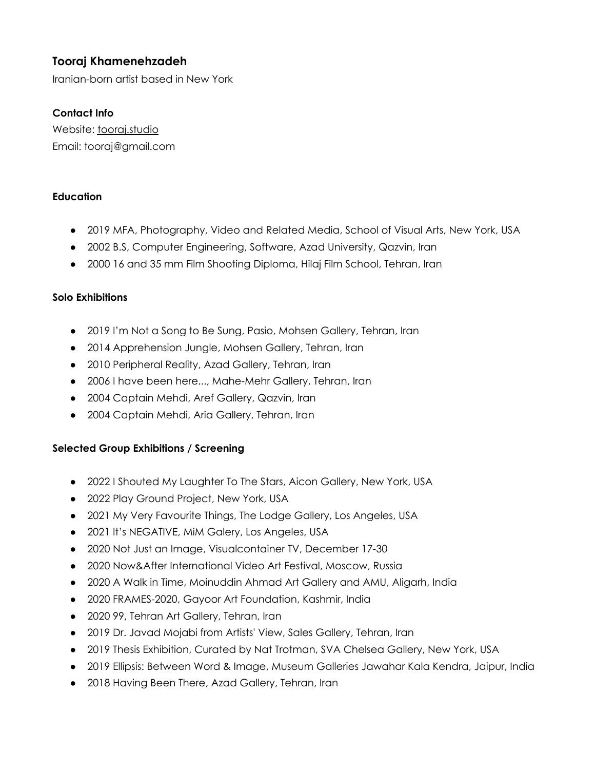# **Tooraj Khamenehzadeh**

Iranian-born artist based in New York

### **Contact Info**

Website: [tooraj.studio](http://tooraj.studio/) Email: tooraj@gmail.com

#### **Education**

- 2019 MFA, Photography, Video and Related Media, School of Visual Arts, New York, USA
- 2002 B.S, Computer Engineering, Software, Azad University, Qazvin, Iran
- 2000 16 and 35 mm Film Shooting Diploma, Hilaj Film School, Tehran, Iran

#### **Solo Exhibitions**

- 2019 I'm Not a Song to Be Sung, Pasio, Mohsen Gallery, Tehran, Iran
- 2014 Apprehension Jungle, Mohsen Gallery, Tehran, Iran
- 2010 Peripheral Reality, Azad Gallery, Tehran, Iran
- 2006 I have been here..., Mahe-Mehr Gallery, Tehran, Iran
- 2004 Captain Mehdi, Aref Gallery, Qazvin, Iran
- 2004 Captain Mehdi, Aria Gallery, Tehran, Iran

#### **Selected Group Exhibitions / Screening**

- 2022 I Shouted My Laughter To The Stars, Aicon Gallery, New York, USA
- 2022 Play Ground Project, New York, USA
- 2021 My Very Favourite Things, The Lodge Gallery, Los Angeles, USA
- 2021 It's NEGATIVE, MiM Galery, Los Angeles, USA
- 2020 Not Just an Image, Visualcontainer TV, December 17-30
- 2020 Now&After International Video Art Festival, Moscow, Russia
- 2020 A Walk in Time, Moinuddin Ahmad Art Gallery and AMU, Aligarh, India
- 2020 FRAMES-2020, Gayoor Art Foundation, Kashmir, India
- 2020 99, Tehran Art Gallery, Tehran, Iran
- 2019 Dr. Javad Mojabi from Artists' View, Sales Gallery, Tehran, Iran
- 2019 Thesis Exhibition, Curated by Nat Trotman, SVA Chelsea Gallery, New York, USA
- 2019 Ellipsis: Between Word & Image, Museum Galleries Jawahar Kala Kendra, Jaipur, India
- 2018 Having Been There, Azad Gallery, Tehran, Iran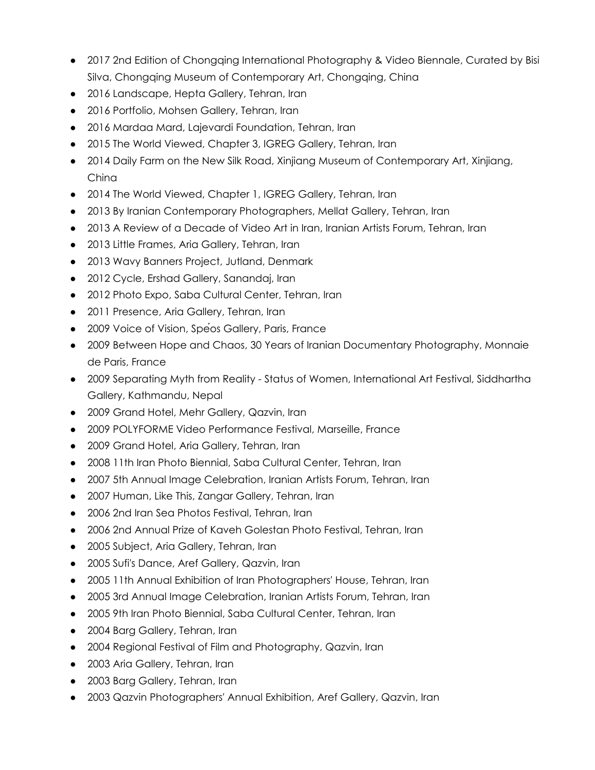- 2017 2nd Edition of Chongqing International Photography & Video Biennale, Curated by Bisi Silva, Chongqing Museum of Contemporary Art, Chongqing, China
- 2016 Landscape, Hepta Gallery, Tehran, Iran
- 2016 Portfolio, Mohsen Gallery, Tehran, Iran
- 2016 Mardaa Mard, Lajevardi Foundation, Tehran, Iran
- 2015 The World Viewed, Chapter 3, IGREG Gallery, Tehran, Iran
- 2014 Daily Farm on the New Silk Road, Xinjiang Museum of Contemporary Art, Xinjiang, China
- 2014 The World Viewed, Chapter 1, IGREG Gallery, Tehran, Iran
- 2013 By Iranian Contemporary Photographers, Mellat Gallery, Tehran, Iran
- 2013 A Review of a Decade of Video Art in Iran, Iranian Artists Forum, Tehran, Iran
- 2013 Little Frames, Aria Gallery, Tehran, Iran
- 2013 Wavy Banners Project, Jutland, Denmark
- 2012 Cycle, Ershad Gallery, Sanandaj, Iran
- 2012 Photo Expo, Saba Cultural Center, Tehran, Iran
- 2011 Presence, Aria Gallery, Tehran, Iran
- 2009 Voice of Vision, Spéos Gallery, Paris, France
- 2009 Between Hope and Chaos, 30 Years of Iranian Documentary Photography, Monnaie de Paris, France
- 2009 Separating Myth from Reality Status of Women, International Art Festival, Siddhartha Gallery, Kathmandu, Nepal
- 2009 Grand Hotel, Mehr Gallery, Qazvin, Iran
- 2009 POLYFORME Video Performance Festival, Marseille, France
- 2009 Grand Hotel, Aria Gallery, Tehran, Iran
- 2008 11th Iran Photo Biennial, Saba Cultural Center, Tehran, Iran
- 2007 5th Annual Image Celebration, Iranian Artists Forum, Tehran, Iran
- 2007 Human, Like This, Zangar Gallery, Tehran, Iran
- 2006 2nd Iran Sea Photos Festival, Tehran, Iran
- 2006 2nd Annual Prize of Kaveh Golestan Photo Festival, Tehran, Iran
- 2005 Subject, Aria Gallery, Tehran, Iran
- 2005 Sufi's Dance, Aref Gallery, Qazvin, Iran
- 2005 11th Annual Exhibition of Iran Photographers' House, Tehran, Iran
- 2005 3rd Annual Image Celebration, Iranian Artists Forum, Tehran, Iran
- 2005 9th Iran Photo Biennial, Saba Cultural Center, Tehran, Iran
- 2004 Barg Gallery, Tehran, Iran
- 2004 Regional Festival of Film and Photography, Qazvin, Iran
- 2003 Aria Gallery, Tehran, Iran
- 2003 Barg Gallery, Tehran, Iran
- 2003 Qazvin Photographers' Annual Exhibition, Aref Gallery, Qazvin, Iran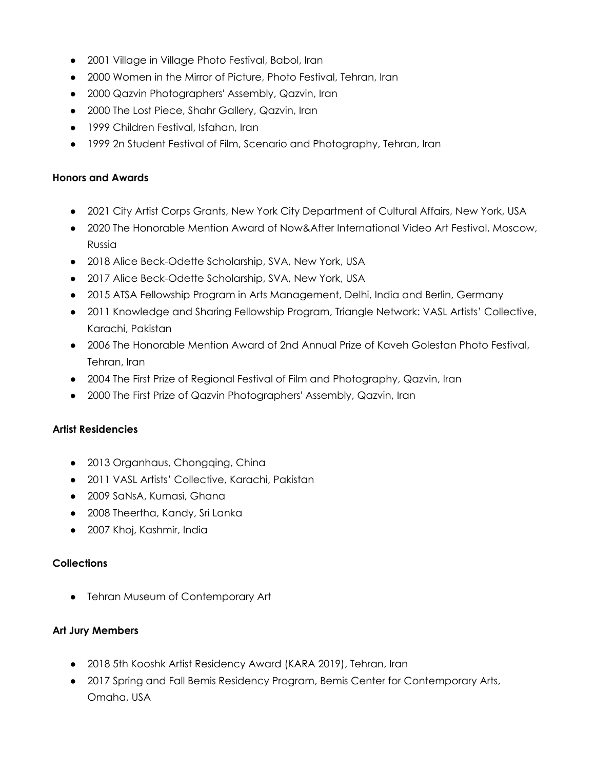- 2001 Village in Village Photo Festival, Babol, Iran
- 2000 Women in the Mirror of Picture, Photo Festival, Tehran, Iran
- 2000 Qazvin Photographers' Assembly, Qazvin, Iran
- 2000 The Lost Piece, Shahr Gallery, Qazvin, Iran
- 1999 Children Festival, Isfahan, Iran
- 1999 2n Student Festival of Film, Scenario and Photography, Tehran, Iran

### **Honors and Awards**

- 2021 City Artist Corps Grants, New York City Department of Cultural Affairs, New York, USA
- 2020 The Honorable Mention Award of Now&After International Video Art Festival, Moscow, Russia
- 2018 Alice Beck-Odette Scholarship, SVA, New York, USA
- 2017 Alice Beck-Odette Scholarship, SVA, New York, USA
- 2015 ATSA Fellowship Program in Arts Management, Delhi, India and Berlin, Germany
- 2011 Knowledge and Sharing Fellowship Program, Triangle Network: VASL Artists' Collective, Karachi, Pakistan
- 2006 The Honorable Mention Award of 2nd Annual Prize of Kaveh Golestan Photo Festival, Tehran, Iran
- 2004 The First Prize of Regional Festival of Film and Photography, Qazvin, Iran
- 2000 The First Prize of Qazvin Photographers' Assembly, Qazvin, Iran

# **Artist Residencies**

- 2013 Organhaus, Chongqing, China
- 2011 VASL Artists' Collective, Karachi, Pakistan
- 2009 SaNsA, Kumasi, Ghana
- 2008 Theertha, Kandy, Sri Lanka
- 2007 Khoj, Kashmir, India

# **Collections**

● Tehran Museum of Contemporary Art

### **Art Jury Members**

- 2018 5th Kooshk Artist Residency Award (KARA 2019), Tehran, Iran
- 2017 Spring and Fall Bemis Residency Program, Bemis Center for Contemporary Arts, Omaha, USA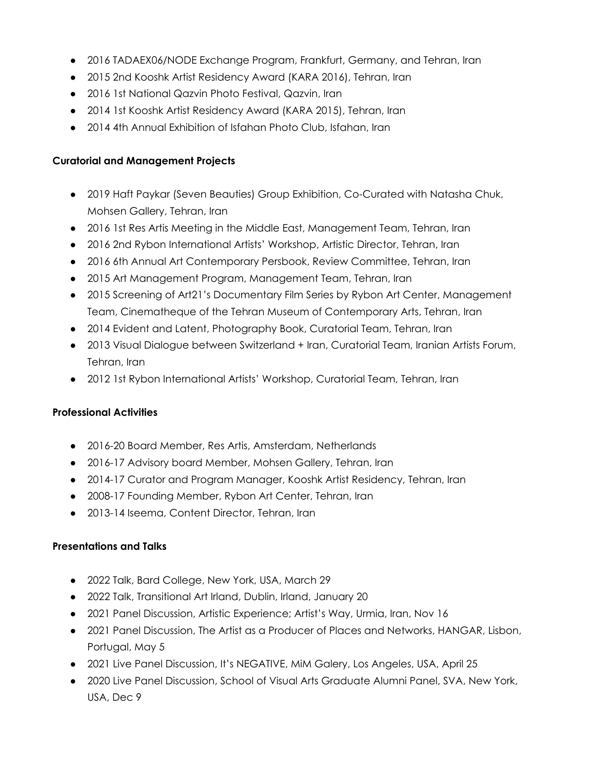- 2016 TADAEX06/NODE Exchange Program, Frankfurt, Germany, and Tehran, Iran
- 2015 2nd Kooshk Artist Residency Award (KARA 2016), Tehran, Iran
- 2016 1st National Qazvin Photo Festival, Qazvin, Iran
- 2014 1st Kooshk Artist Residency Award (KARA 2015), Tehran, Iran
- 2014 4th Annual Exhibition of Isfahan Photo Club, Isfahan, Iran

#### **Curatorial and Management Projects**

- 2019 Haft Paykar (Seven Beauties) Group Exhibition, Co-Curated with Natasha Chuk, Mohsen Gallery, Tehran, Iran
- 2016 1st Res Artis Meeting in the Middle East, Management Team, Tehran, Iran
- 2016 2nd Rybon International Artists' Workshop, Artistic Director, Tehran, Iran
- 2016 6th Annual Art Contemporary Persbook, Review Committee, Tehran, Iran
- 2015 Art Management Program, Management Team, Tehran, Iran
- 2015 Screening of Art21's Documentary Film Series by Rybon Art Center, Management Team, Cinematheque of the Tehran Museum of Contemporary Arts, Tehran, Iran
- 2014 Evident and Latent, Photography Book, Curatorial Team, Tehran, Iran
- 2013 Visual Dialogue between Switzerland + Iran, Curatorial Team, Iranian Artists Forum, Tehran, Iran
- 2012 1st Rybon International Artists' Workshop, Curatorial Team, Tehran, Iran

### **Professional Activities**

- 2016-20 Board Member, Res Artis, Amsterdam, Netherlands
- 2016-17 Advisory board Member, Mohsen Gallery, Tehran, Iran
- 2014-17 Curator and Program Manager, Kooshk Artist Residency, Tehran, Iran
- 2008-17 Founding Member, Rybon Art Center, Tehran, Iran
- 2013-14 Iseema, Content Director, Tehran, Iran

### **Presentations and Talks**

- 2022 Talk, Bard College, New York, USA, March 29
- 2022 Talk, Transitional Art Irland, Dublin, Irland, January 20
- 2021 Panel Discussion, Artistic Experience; Artist's Way, Urmia, Iran, Nov 16
- 2021 Panel Discussion, The Artist as a Producer of Places and Networks, HANGAR, Lisbon, Portugal, May 5
- 2021 Live Panel Discussion, It's NEGATIVE, MiM Galery, Los Angeles, USA, April 25
- 2020 Live Panel Discussion, School of Visual Arts Graduate Alumni Panel, SVA, New York, USA, Dec 9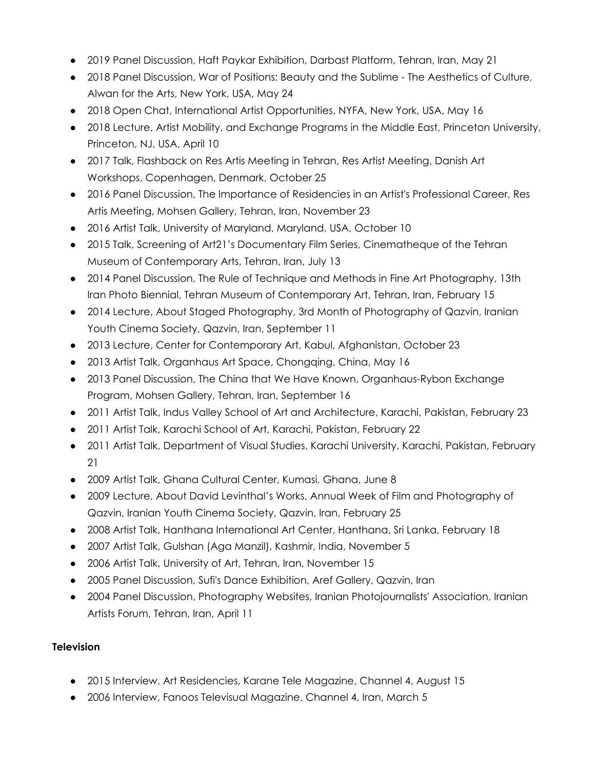- 2019 Panel Discussion, Haft Paykar Exhibition, Darbast Platform, Tehran, Iran, May 21
- 2018 Panel Discussion, War of Positions: Beauty and the Sublime The Aesthetics of Culture, Alwan for the Arts, New York, USA, May 24
- 2018 Open Chat, International Artist Opportunities, NYFA, New York, USA, May 16
- 2018 Lecture, Artist Mobility, and Exchange Programs in the Middle East, Princeton University, Princeton, NJ, USA, April 10
- 2017 Talk, Flashback on Res Artis Meeting in Tehran, Res Artist Meeting, Danish Art Workshops, Copenhagen, Denmark, October 25
- 2016 Panel Discussion, The Importance of Residencies in an Artist's Professional Career, Res Artis Meeting, Mohsen Gallery, Tehran, Iran, November 23
- 2016 Artist Talk, University of Maryland, Maryland, USA, October 10
- 2015 Talk, Screening of Art21's Documentary Film Series, Cinematheque of the Tehran Museum of Contemporary Arts, Tehran, Iran, July 13
- 2014 Panel Discussion, The Rule of Technique and Methods in Fine Art Photography, 13th Iran Photo Biennial, Tehran Museum of Contemporary Art, Tehran, Iran, February 15
- 2014 Lecture, About Staged Photography, 3rd Month of Photography of Qazvin, Iranian Youth Cinema Society, Qazvin, Iran, September 11
- 2013 Lecture, Center for Contemporary Art, Kabul, Afghanistan, October 23
- 2013 Artist Talk, Organhaus Art Space, Chongqing, China, May 16
- 2013 Panel Discussion, The China that We Have Known, Organhaus-Rybon Exchange Program, Mohsen Gallery, Tehran, Iran, September 16
- 2011 Artist Talk, Indus Valley School of Art and Architecture, Karachi, Pakistan, February 23
- 2011 Artist Talk, Karachi School of Art, Karachi, Pakistan, February 22
- 2011 Artist Talk, Department of Visual Studies, Karachi University, Karachi, Pakistan, February 21
- 2009 Artist Talk, Ghana Cultural Center, Kumasi, Ghana, June 8
- 2009 Lecture, About David Levinthal's Works, Annual Week of Film and Photography of Qazvin, Iranian Youth Cinema Society, Qazvin, Iran, February 25
- 2008 Artist Talk, Hanthana International Art Center, Hanthana, Sri Lanka, February 18
- 2007 Artist Talk, Gulshan (Aga Manzil), Kashmir, India, November 5
- 2006 Artist Talk, University of Art, Tehran, Iran, November 15
- 2005 Panel Discussion, Sufi's Dance Exhibition, Aref Gallery, Qazvin, Iran
- 2004 Panel Discussion, Photography Websites, Iranian Photojournalists' Association, Iranian Artists Forum, Tehran, Iran, April 11

### **Television**

- 2015 Interview, Art Residencies, Karane Tele Magazine, Channel 4, August 15
- 2006 Interview, Fanoos Televisual Magazine, Channel 4, Iran, March 5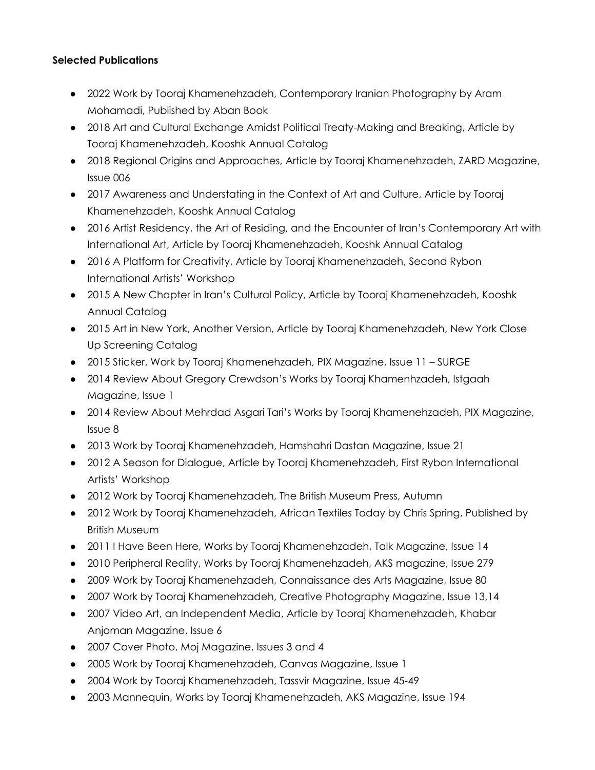#### **Selected Publications**

- 2022 Work by Tooraj Khamenehzadeh, Contemporary Iranian Photography by Aram Mohamadi, Published by Aban Book
- 2018 Art and Cultural Exchange Amidst Political Treaty-Making and Breaking, Article by Tooraj Khamenehzadeh, Kooshk Annual Catalog
- 2018 Regional Origins and Approaches, Article by Tooraj Khamenehzadeh, ZARD Magazine, Issue 006
- 2017 Awareness and Understating in the Context of Art and Culture, Article by Tooraj Khamenehzadeh, Kooshk Annual Catalog
- 2016 Artist Residency, the Art of Residing, and the Encounter of Iran's Contemporary Art with International Art, Article by Tooraj Khamenehzadeh, Kooshk Annual Catalog
- 2016 A Platform for Creativity, Article by Tooraj Khamenehzadeh, Second Rybon International Artists' Workshop
- 2015 A New Chapter in Iran's Cultural Policy, Article by Tooraj Khamenehzadeh, Kooshk Annual Catalog
- 2015 Art in New York, Another Version, Article by Tooraj Khamenehzadeh, New York Close Up Screening Catalog
- 2015 Sticker, Work by Tooraj Khamenehzadeh, PIX Magazine, Issue 11 SURGE
- 2014 Review About Gregory Crewdson's Works by Tooraj Khamenhzadeh, Istgaah Magazine, Issue 1
- 2014 Review About Mehrdad Asgari Tari's Works by Tooraj Khamenehzadeh, PIX Magazine, Issue 8
- 2013 Work by Tooraj Khamenehzadeh, Hamshahri Dastan Magazine, Issue 21
- 2012 A Season for Dialogue, Article by Tooraj Khamenehzadeh, First Rybon International Artists' Workshop
- 2012 Work by Tooraj Khamenehzadeh, The British Museum Press, Autumn
- 2012 Work by Tooraj Khamenehzadeh, African Textiles Today by Chris Spring, Published by British Museum
- 2011 I Have Been Here, Works by Tooraj Khamenehzadeh, Talk Magazine, Issue 14
- 2010 Peripheral Reality, Works by Tooraj Khamenehzadeh, AKS magazine, Issue 279
- 2009 Work by Tooraj Khamenehzadeh, Connaissance des Arts Magazine, Issue 80
- 2007 Work by Tooraj Khamenehzadeh, Creative Photography Magazine, Issue 13,14
- 2007 Video Art, an Independent Media, Article by Tooraj Khamenehzadeh, Khabar Anjoman Magazine, Issue 6
- 2007 Cover Photo, Moj Magazine, Issues 3 and 4
- 2005 Work by Tooraj Khamenehzadeh, Canvas Magazine, Issue 1
- 2004 Work by Tooraj Khamenehzadeh, Tassvir Magazine, Issue 45-49
- 2003 Mannequin, Works by Tooraj Khamenehzadeh, AKS Magazine, Issue 194